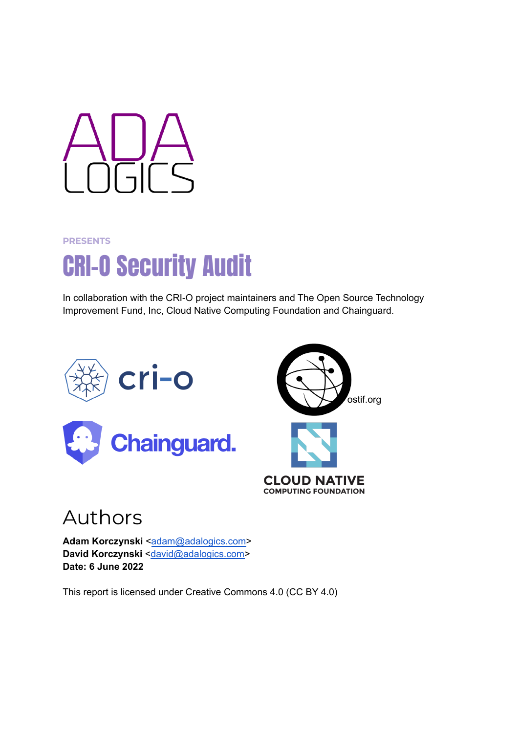

#### **PRESENTS**

# CRI-O Security Audit

In collaboration with the CRI-O project maintainers and The Open Source Technology Improvement Fund, Inc, Cloud Native Computing Foundation and Chainguard.





## Authors

**Adam Korczynski <[adam@adalogics.com>](mailto:adam@adalogics.com) David Korczynski** [<david@adalogics.com>](mailto:david@adalogics.com) **Date: 6 June 2022**

This report is licensed under Creative Commons 4.0 (CC BY 4.0)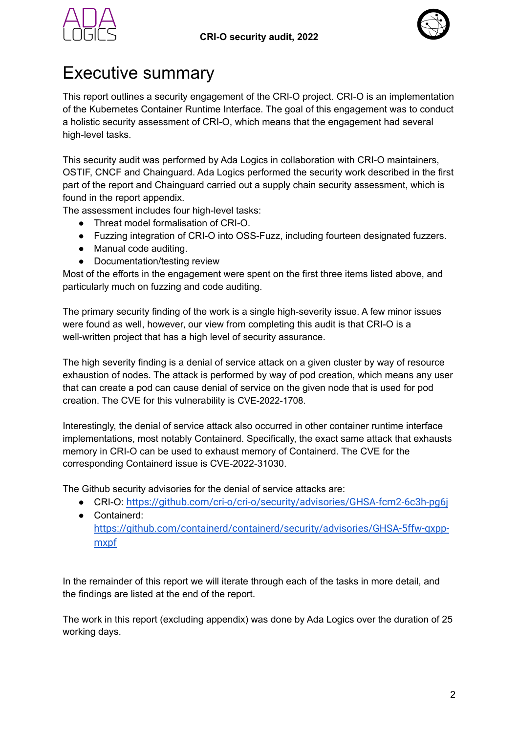



## <span id="page-1-0"></span>Executive summary

This report outlines a security engagement of the CRI-O project. CRI-O is an implementation of the Kubernetes Container Runtime Interface. The goal of this engagement was to conduct a holistic security assessment of CRI-O, which means that the engagement had several high-level tasks.

This security audit was performed by Ada Logics in collaboration with CRI-O maintainers, OSTIF, CNCF and Chainguard. Ada Logics performed the security work described in the first part of the report and Chainguard carried out a supply chain security assessment, which is found in the report appendix.

The assessment includes four high-level tasks:

- Threat model formalisation of CRI-O.
- Fuzzing integration of CRI-O into OSS-Fuzz, including fourteen designated fuzzers.
- Manual code auditing.
- Documentation/testing review

Most of the efforts in the engagement were spent on the first three items listed above, and particularly much on fuzzing and code auditing.

The primary security finding of the work is a single high-severity issue. A few minor issues were found as well, however, our view from completing this audit is that CRI-O is a well-written project that has a high level of security assurance.

The high severity finding is a denial of service attack on a given cluster by way of resource exhaustion of nodes. The attack is performed by way of pod creation, which means any user that can create a pod can cause denial of service on the given node that is used for pod creation. The CVE for this vulnerability is CVE-2022-1708.

Interestingly, the denial of service attack also occurred in other container runtime interface implementations, most notably Containerd. Specifically, the exact same attack that exhausts memory in CRI-O can be used to exhaust memory of Containerd. The CVE for the corresponding Containerd issue is CVE-2022-31030.

The Github security advisories for the denial of service attacks are:

- CRI-O: <https://github.com/cri-o/cri-o/security/advisories/GHSA-fcm2-6c3h-pg6j>
- Containerd: [https://github.com/containerd/containerd/security/advisories/GHSA-5ffw-gxpp](https://github.com/containerd/containerd/security/advisories/GHSA-5ffw-gxpp-mxpf)[mxpf](https://github.com/containerd/containerd/security/advisories/GHSA-5ffw-gxpp-mxpf)

In the remainder of this report we will iterate through each of the tasks in more detail, and the findings are listed at the end of the report.

The work in this report (excluding appendix) was done by Ada Logics over the duration of 25 working days.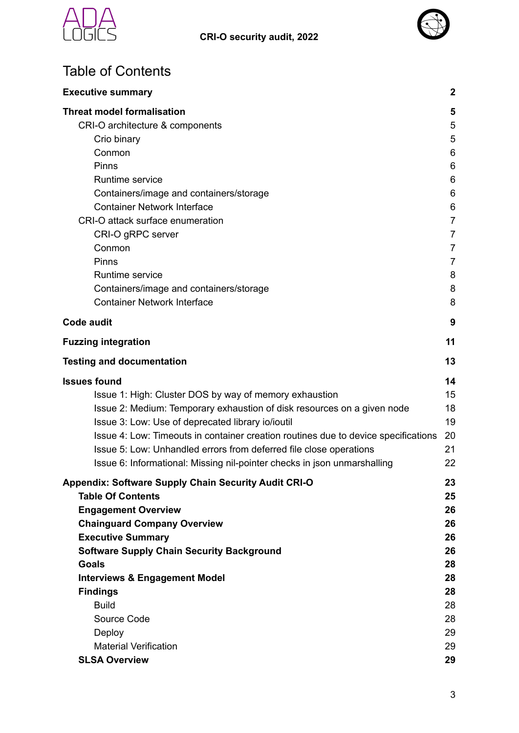



## Table of Contents

| <b>Executive summary</b>                                                           | $\boldsymbol{2}$ |
|------------------------------------------------------------------------------------|------------------|
| <b>Threat model formalisation</b>                                                  | 5                |
| CRI-O architecture & components                                                    | 5                |
| Crio binary                                                                        | 5                |
| Conmon                                                                             | 6                |
| Pinns                                                                              | 6                |
| Runtime service                                                                    | 6                |
| Containers/image and containers/storage                                            | 6                |
| <b>Container Network Interface</b>                                                 | 6                |
| CRI-O attack surface enumeration                                                   | $\overline{7}$   |
| CRI-O gRPC server                                                                  | 7                |
| Conmon                                                                             | 7                |
| Pinns                                                                              | 7                |
| Runtime service                                                                    | 8                |
| Containers/image and containers/storage                                            | 8                |
| <b>Container Network Interface</b>                                                 | 8                |
| <b>Code audit</b>                                                                  | 9                |
| <b>Fuzzing integration</b>                                                         | 11               |
| <b>Testing and documentation</b>                                                   | 13               |
| <b>Issues found</b>                                                                | 14               |
| Issue 1: High: Cluster DOS by way of memory exhaustion                             | 15               |
| Issue 2: Medium: Temporary exhaustion of disk resources on a given node            | 18               |
| Issue 3: Low: Use of deprecated library io/ioutil                                  | 19               |
| Issue 4: Low: Timeouts in container creation routines due to device specifications | 20               |
| Issue 5: Low: Unhandled errors from deferred file close operations                 | 21               |
| Issue 6: Informational: Missing nil-pointer checks in json unmarshalling           | 22               |
| <b>Appendix: Software Supply Chain Security Audit CRI-O</b>                        | 23               |
| <b>Table Of Contents</b>                                                           | 25               |
| <b>Engagement Overview</b>                                                         | 26               |
| <b>Chainguard Company Overview</b>                                                 | 26               |
| <b>Executive Summary</b>                                                           | 26               |
| <b>Software Supply Chain Security Background</b>                                   | 26               |
| <b>Goals</b>                                                                       | 28               |
| <b>Interviews &amp; Engagement Model</b>                                           | 28               |
| <b>Findings</b>                                                                    | 28               |
| <b>Build</b>                                                                       | 28               |
| Source Code                                                                        | 28               |
| Deploy                                                                             | 29               |
| <b>Material Verification</b>                                                       | 29               |
| <b>SLSA Overview</b>                                                               | 29               |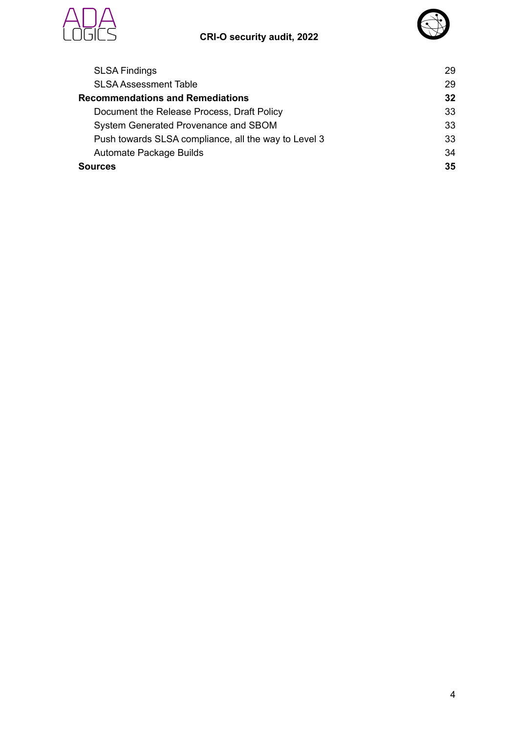#### **CRI-O security audit, 2022**





| <b>SLSA Findings</b>                                 | 29 |
|------------------------------------------------------|----|
| <b>SLSA Assessment Table</b>                         | 29 |
| <b>Recommendations and Remediations</b>              | 32 |
| Document the Release Process, Draft Policy           | 33 |
| System Generated Provenance and SBOM                 | 33 |
| Push towards SLSA compliance, all the way to Level 3 | 33 |
| Automate Package Builds                              | 34 |
| <b>Sources</b>                                       | 35 |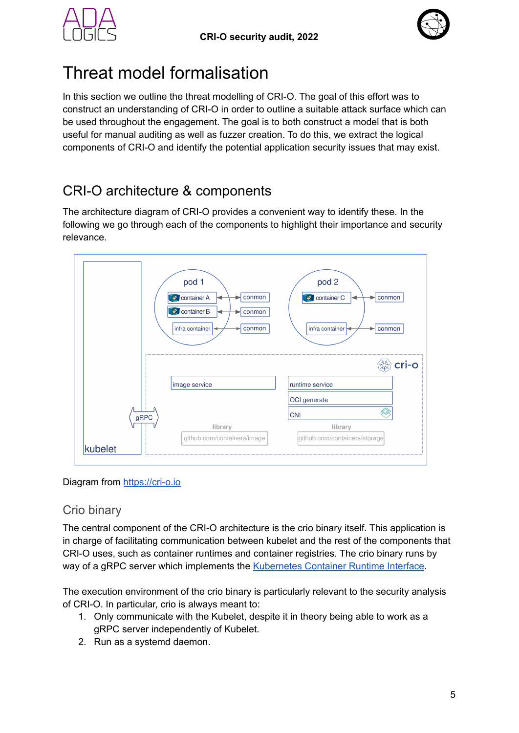



## <span id="page-4-0"></span>Threat model formalisation

In this section we outline the threat modelling of CRI-O. The goal of this effort was to construct an understanding of CRI-O in order to outline a suitable attack surface which can be used throughout the engagement. The goal is to both construct a model that is both useful for manual auditing as well as fuzzer creation. To do this, we extract the logical components of CRI-O and identify the potential application security issues that may exist.

## <span id="page-4-1"></span>CRI-O architecture & components

The architecture diagram of CRI-O provides a convenient way to identify these. In the following we go through each of the components to highlight their importance and security relevance.



<span id="page-4-2"></span>Diagram from <https://cri-o.io>

#### Crio binary

The central component of the CRI-O architecture is the crio binary itself. This application is in charge of facilitating communication between kubelet and the rest of the components that CRI-O uses, such as container runtimes and container registries. The crio binary runs by way of a gRPC server which implements the [Kubernetes](https://github.com/kubernetes/cri-api) Container Runtime Interface.

The execution environment of the crio binary is particularly relevant to the security analysis of CRI-O. In particular, crio is always meant to:

- 1. Only communicate with the Kubelet, despite it in theory being able to work as a gRPC server independently of Kubelet.
- 2. Run as a systemd daemon.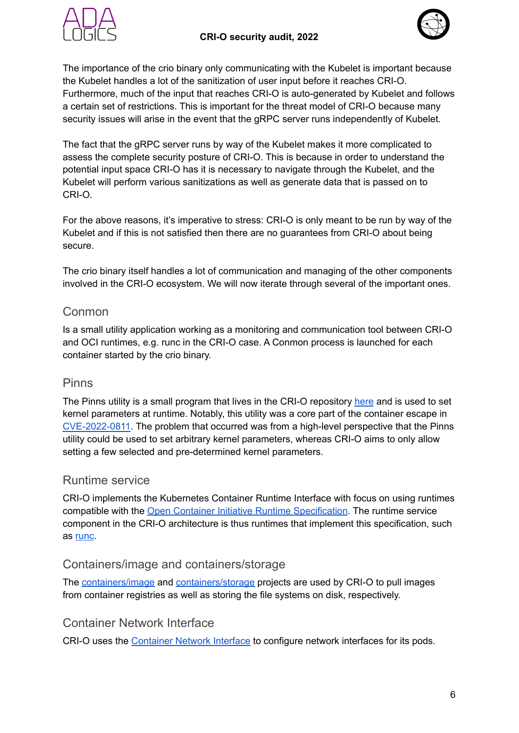#### **CRI-O security audit, 2022**





The importance of the crio binary only communicating with the Kubelet is important because the Kubelet handles a lot of the sanitization of user input before it reaches CRI-O. Furthermore, much of the input that reaches CRI-O is auto-generated by Kubelet and follows a certain set of restrictions. This is important for the threat model of CRI-O because many security issues will arise in the event that the gRPC server runs independently of Kubelet.

The fact that the gRPC server runs by way of the Kubelet makes it more complicated to assess the complete security posture of CRI-O. This is because in order to understand the potential input space CRI-O has it is necessary to navigate through the Kubelet, and the Kubelet will perform various sanitizations as well as generate data that is passed on to CRI-O.

For the above reasons, it's imperative to stress: CRI-O is only meant to be run by way of the Kubelet and if this is not satisfied then there are no guarantees from CRI-O about being secure.

The crio binary itself handles a lot of communication and managing of the other components involved in the CRI-O ecosystem. We will now iterate through several of the important ones.

#### <span id="page-5-0"></span>Conmon

Is a small utility application working as a monitoring and communication tool between CRI-O and OCI runtimes, e.g. runc in the CRI-O case. A Conmon process is launched for each container started by the crio binary.

#### <span id="page-5-1"></span>Pinns

The Pinns utility is a small program that lives in the CRI-O repository [here](https://github.com/cri-o/cri-o/tree/a12d4de4666875483659f158f5047185c519a40e/pinns) and is used to set kernel parameters at runtime. Notably, this utility was a core part of the container escape in [CVE-2022-0811](https://www.crowdstrike.com/blog/cr8escape-new-vulnerability-discovered-in-cri-o-container-engine-cve-2022-0811/). The problem that occurred was from a high-level perspective that the Pinns utility could be used to set arbitrary kernel parameters, whereas CRI-O aims to only allow setting a few selected and pre-determined kernel parameters.

#### <span id="page-5-2"></span>Runtime service

CRI-O implements the Kubernetes Container Runtime Interface with focus on using runtimes compatible with the Open Container Initiative Runtime [Specification](https://github.com/opencontainers/runtime-spec). The runtime service component in the CRI-O architecture is thus runtimes that implement this specification, such as [runc](https://github.com/opencontainers/runc).

#### <span id="page-5-3"></span>Containers/image and containers/storage

The [containers/image](https://github.com/containers/image) and [containers/storage](https://github.com/containers/storage) projects are used by CRI-O to pull images from container registries as well as storing the file systems on disk, respectively.

#### <span id="page-5-4"></span>Container Network Interface

CRI-O uses the [Container](https://github.com/containernetworking/cni) Network Interface to configure network interfaces for its pods.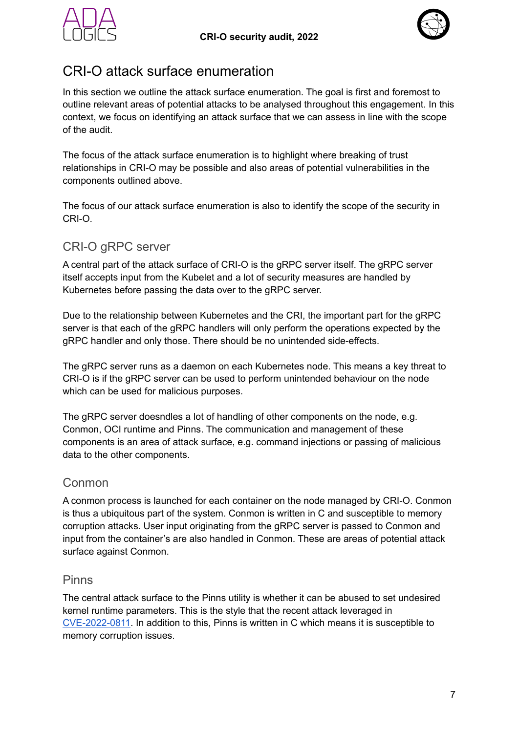



### <span id="page-6-0"></span>CRI-O attack surface enumeration

In this section we outline the attack surface enumeration. The goal is first and foremost to outline relevant areas of potential attacks to be analysed throughout this engagement. In this context, we focus on identifying an attack surface that we can assess in line with the scope of the audit.

The focus of the attack surface enumeration is to highlight where breaking of trust relationships in CRI-O may be possible and also areas of potential vulnerabilities in the components outlined above.

The focus of our attack surface enumeration is also to identify the scope of the security in CRI-O.

#### <span id="page-6-1"></span>CRI-O gRPC server

A central part of the attack surface of CRI-O is the gRPC server itself. The gRPC server itself accepts input from the Kubelet and a lot of security measures are handled by Kubernetes before passing the data over to the gRPC server.

Due to the relationship between Kubernetes and the CRI, the important part for the gRPC server is that each of the gRPC handlers will only perform the operations expected by the gRPC handler and only those. There should be no unintended side-effects.

The gRPC server runs as a daemon on each Kubernetes node. This means a key threat to CRI-O is if the gRPC server can be used to perform unintended behaviour on the node which can be used for malicious purposes.

The gRPC server doesndles a lot of handling of other components on the node, e.g. Conmon, OCI runtime and Pinns. The communication and management of these components is an area of attack surface, e.g. command injections or passing of malicious data to the other components.

#### <span id="page-6-2"></span>Conmon

A conmon process is launched for each container on the node managed by CRI-O. Conmon is thus a ubiquitous part of the system. Conmon is written in C and susceptible to memory corruption attacks. User input originating from the gRPC server is passed to Conmon and input from the container's are also handled in Conmon. These are areas of potential attack surface against Conmon.

#### <span id="page-6-3"></span>Pinns

The central attack surface to the Pinns utility is whether it can be abused to set undesired kernel runtime parameters. This is the style that the recent attack leveraged in [CVE-2022-0811](https://www.crowdstrike.com/blog/cr8escape-new-vulnerability-discovered-in-cri-o-container-engine-cve-2022-0811/). In addition to this, Pinns is written in C which means it is susceptible to memory corruption issues.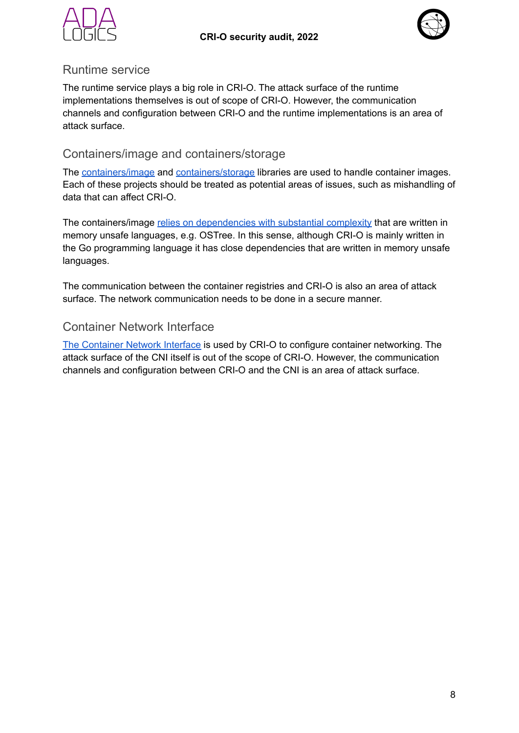



#### <span id="page-7-0"></span>Runtime service

The runtime service plays a big role in CRI-O. The attack surface of the runtime implementations themselves is out of scope of CRI-O. However, the communication channels and configuration between CRI-O and the runtime implementations is an area of attack surface.

#### <span id="page-7-1"></span>Containers/image and containers/storage

The [containers/image](https://github.com/containers/image) and [containers/storage](https://github.com/containers/storage) libraries are used to handle container images. Each of these projects should be treated as potential areas of issues, such as mishandling of data that can affect CRI-O.

The containers/image relies on [dependencies](https://github.com/containers/image#building) with substantial complexity that are written in memory unsafe languages, e.g. OSTree. In this sense, although CRI-O is mainly written in the Go programming language it has close dependencies that are written in memory unsafe languages.

The communication between the container registries and CRI-O is also an area of attack surface. The network communication needs to be done in a secure manner.

#### <span id="page-7-2"></span>Container Network Interface

The [Container](https://github.com/containernetworking/cni) Network Interface is used by CRI-O to configure container networking. The attack surface of the CNI itself is out of the scope of CRI-O. However, the communication channels and configuration between CRI-O and the CNI is an area of attack surface.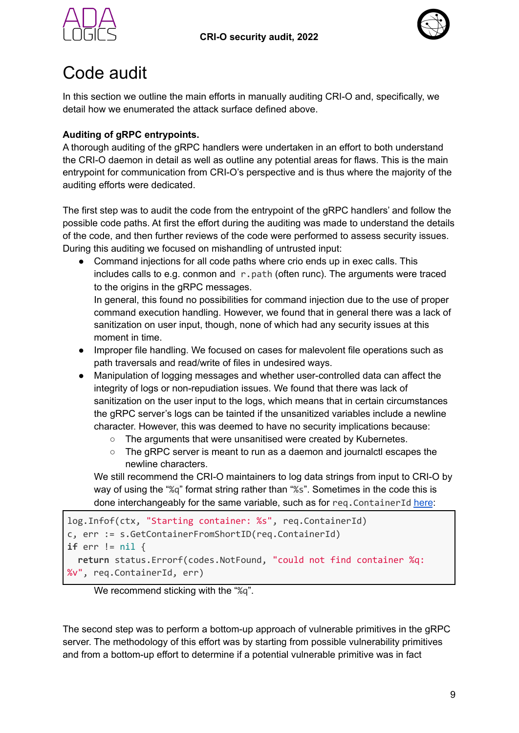



## <span id="page-8-0"></span>Code audit

In this section we outline the main efforts in manually auditing CRI-O and, specifically, we detail how we enumerated the attack surface defined above.

#### **Auditing of gRPC entrypoints.**

A thorough auditing of the gRPC handlers were undertaken in an effort to both understand the CRI-O daemon in detail as well as outline any potential areas for flaws. This is the main entrypoint for communication from CRI-O's perspective and is thus where the majority of the auditing efforts were dedicated.

The first step was to audit the code from the entrypoint of the gRPC handlers' and follow the possible code paths. At first the effort during the auditing was made to understand the details of the code, and then further reviews of the code were performed to assess security issues. During this auditing we focused on mishandling of untrusted input:

• Command injections for all code paths where crio ends up in exec calls. This includes calls to e.g. conmon and  $r$ , path (often runc). The arguments were traced to the origins in the gRPC messages.

In general, this found no possibilities for command injection due to the use of proper command execution handling. However, we found that in general there was a lack of sanitization on user input, though, none of which had any security issues at this moment in time.

- Improper file handling. We focused on cases for malevolent file operations such as path traversals and read/write of files in undesired ways.
- Manipulation of logging messages and whether user-controlled data can affect the integrity of logs or non-repudiation issues. We found that there was lack of sanitization on the user input to the logs, which means that in certain circumstances the gRPC server's logs can be tainted if the unsanitized variables include a newline character. However, this was deemed to have no security implications because:
	- The arguments that were unsanitised were created by Kubernetes.
	- The gRPC server is meant to run as a daemon and journalctl escapes the newline characters.

We still recommend the CRI-O maintainers to log data strings from input to CRI-O by way of using the "%q" format string rather than "%s". Sometimes in the code this is done interchangeably for the same variable, such as for reg. ContainerId [here](https://github.com/cri-o/cri-o/blob/a12d4de4666875483659f158f5047185c519a40e/server/container_start.go#L17-L20):

```
log.Infof(ctx, "Starting container: %s", req.ContainerId)
c, err := s.GetContainerFromShortID(req.ContainerId)
if err != nil {
  return status.Errorf(codes.NotFound, "could not find container %q:
%v", req.ContainerId, err)
```
We recommend sticking with the "%q".

The second step was to perform a bottom-up approach of vulnerable primitives in the gRPC server. The methodology of this effort was by starting from possible vulnerability primitives and from a bottom-up effort to determine if a potential vulnerable primitive was in fact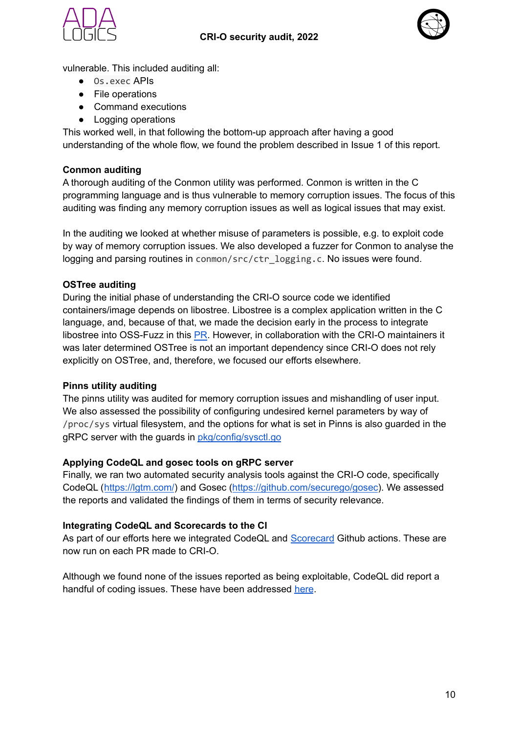



vulnerable. This included auditing all:

- Os.exec APIs
- File operations
- Command executions
- Logging operations

This worked well, in that following the bottom-up approach after having a good understanding of the whole flow, we found the problem described in Issue 1 of this report.

#### **Conmon auditing**

A thorough auditing of the Conmon utility was performed. Conmon is written in the C programming language and is thus vulnerable to memory corruption issues. The focus of this auditing was finding any memory corruption issues as well as logical issues that may exist.

In the auditing we looked at whether misuse of parameters is possible, e.g. to exploit code by way of memory corruption issues. We also developed a fuzzer for Conmon to analyse the logging and parsing routines in conmon/src/ctr\_logging.c. No issues were found.

#### **OSTree auditing**

During the initial phase of understanding the CRI-O source code we identified containers/image depends on libostree. Libostree is a complex application written in the C language, and, because of that, we made the decision early in the process to integrate libostree into OSS-Fuzz in this [PR](https://github.com/google/oss-fuzz/pull/7557). However, in collaboration with the CRI-O maintainers it was later determined OSTree is not an important dependency since CRI-O does not rely explicitly on OSTree, and, therefore, we focused our efforts elsewhere.

#### **Pinns utility auditing**

The pinns utility was audited for memory corruption issues and mishandling of user input. We also assessed the possibility of configuring undesired kernel parameters by way of /proc/sys virtual filesystem, and the options for what is set in Pinns is also guarded in the gRPC server with the guards in [pkg/config/sysctl.go](https://github.com/cri-o/cri-o/blob/e844e752a4174b7410cacd7f45d7e5dde2904791/pkg/config/sysctl.go)

#### **Applying CodeQL and gosec tools on gRPC server**

Finally, we ran two automated security analysis tools against the CRI-O code, specifically CodeQL (<https://lgtm.com/>) and Gosec (<https://github.com/securego/gosec>). We assessed the reports and validated the findings of them in terms of security relevance.

#### **Integrating CodeQL and Scorecards to the CI**

As part of our efforts here we integrated CodeQL and [Scorecard](https://github.com/ossf/scorecard) Github actions. These are now run on each PR made to CRI-O.

Although we found none of the issues reported as being exploitable, CodeQL did report a handful of coding issues. These have been addressed [here](https://github.com/cri-o/cri-o/commit/c657f4623d9d44c5ab7aa4b10780caaddeeced08).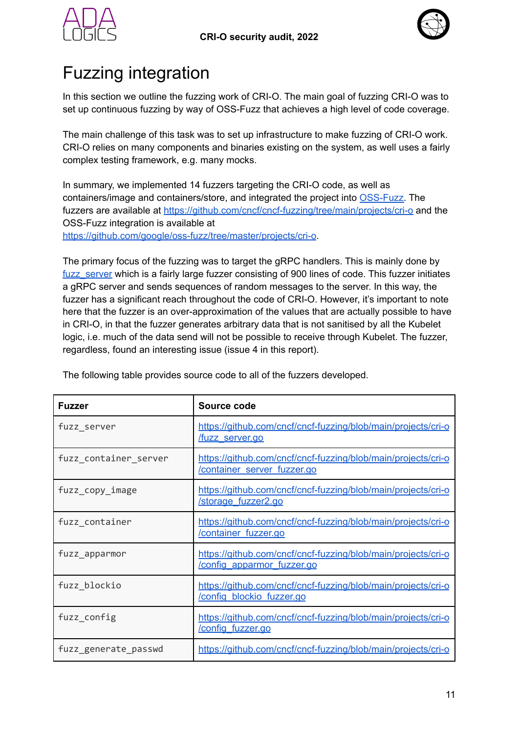



## <span id="page-10-0"></span>Fuzzing integration

In this section we outline the fuzzing work of CRI-O. The main goal of fuzzing CRI-O was to set up continuous fuzzing by way of OSS-Fuzz that achieves a high level of code coverage.

The main challenge of this task was to set up infrastructure to make fuzzing of CRI-O work. CRI-O relies on many components and binaries existing on the system, as well uses a fairly complex testing framework, e.g. many mocks.

In summary, we implemented 14 fuzzers targeting the CRI-O code, as well as containers/image and containers/store, and integrated the project into [OSS-Fuzz.](https://github.com/google/oss-fuzz) The fuzzers are available at <https://github.com/cncf/cncf-fuzzing/tree/main/projects/cri-o> and the OSS-Fuzz integration is available at <https://github.com/google/oss-fuzz/tree/master/projects/cri-o>.

The primary focus of the fuzzing was to target the gRPC handlers. This is mainly done by fuzz server which is a fairly large fuzzer consisting of 900 lines of code. This fuzzer initiates a gRPC server and sends sequences of random messages to the server. In this way, the fuzzer has a significant reach throughout the code of CRI-O. However, it's important to note here that the fuzzer is an over-approximation of the values that are actually possible to have in CRI-O, in that the fuzzer generates arbitrary data that is not sanitised by all the Kubelet logic, i.e. much of the data send will not be possible to receive through Kubelet. The fuzzer, regardless, found an interesting issue (issue 4 in this report).

| <b>Fuzzer</b>         | Source code                                                                                  |
|-----------------------|----------------------------------------------------------------------------------------------|
| fuzz_server           | https://github.com/cncf/cncf-fuzzing/blob/main/projects/cri-o<br><u>/fuzz_server.qo</u>      |
| fuzz_container_server | https://github.com/cncf/cncf-fuzzing/blob/main/projects/cri-o<br>/container server fuzzer.go |
| fuzz_copy_image       | https://github.com/cncf/cncf-fuzzing/blob/main/projects/cri-o<br><b>/storage fuzzer2.go</b>  |
| fuzz_container        | https://github.com/cncf/cncf-fuzzing/blob/main/projects/cri-o<br>/container fuzzer.go        |
| fuzz_apparmor         | https://github.com/cncf/cncf-fuzzing/blob/main/projects/cri-o<br>config apparmor fuzzer.go   |
| fuzz_blockio          | https://github.com/cncf/cncf-fuzzing/blob/main/projects/cri-o<br>/config blockio fuzzer.go   |
| fuzz_config           | https://github.com/cncf/cncf-fuzzing/blob/main/projects/cri-o<br>config fuzzer.go            |
| fuzz_generate_passwd  | https://github.com/cncf/cncf-fuzzing/blob/main/projects/cri-o                                |

The following table provides source code to all of the fuzzers developed.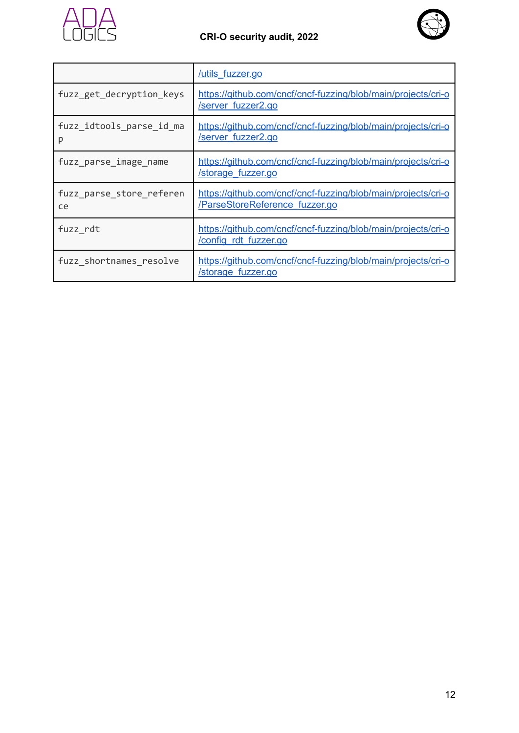



|                                | /utils fuzzer.go                                                                                |
|--------------------------------|-------------------------------------------------------------------------------------------------|
| fuzz_get_decryption_keys       | https://github.com/cncf/cncf-fuzzing/blob/main/projects/cri-o<br>/server fuzzer2.go             |
| fuzz_idtools_parse_id_ma<br>р  | https://github.com/cncf/cncf-fuzzing/blob/main/projects/cri-o<br><b>/server fuzzer2.go</b>      |
| fuzz_parse_image_name          | https://github.com/cncf/cncf-fuzzing/blob/main/projects/cri-o<br>/storage fuzzer.go             |
| fuzz_parse_store_referen<br>ce | https://github.com/cncf/cncf-fuzzing/blob/main/projects/cri-o<br>/ParseStoreReference fuzzer.go |
| fuzz rdt                       | https://github.com/cncf/cncf-fuzzing/blob/main/projects/cri-o<br>/config rdt fuzzer.go          |
| fuzz shortnames resolve        | https://github.com/cncf/cncf-fuzzing/blob/main/projects/cri-o<br>/storage fuzzer.go             |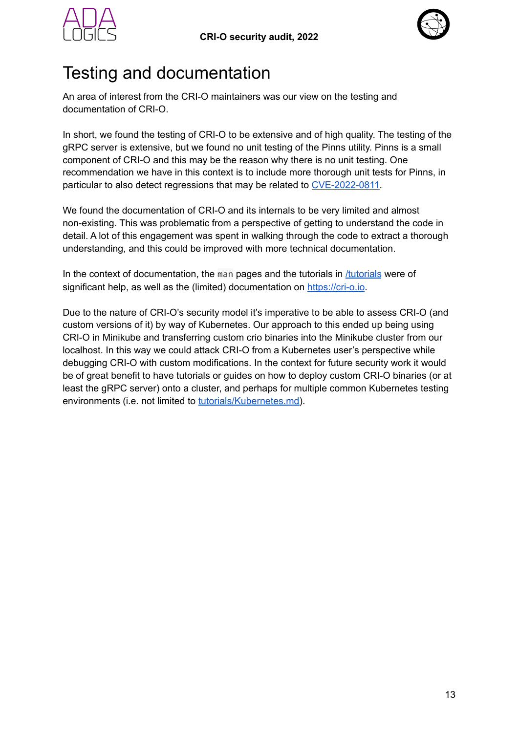



## <span id="page-12-0"></span>Testing and documentation

An area of interest from the CRI-O maintainers was our view on the testing and documentation of CRI-O.

In short, we found the testing of CRI-O to be extensive and of high quality. The testing of the gRPC server is extensive, but we found no unit testing of the Pinns utility. Pinns is a small component of CRI-O and this may be the reason why there is no unit testing. One recommendation we have in this context is to include more thorough unit tests for Pinns, in particular to also detect regressions that may be related to [CVE-2022-0811.](https://www.crowdstrike.com/blog/cr8escape-new-vulnerability-discovered-in-cri-o-container-engine-cve-2022-0811/)

We found the documentation of CRI-O and its internals to be very limited and almost non-existing. This was problematic from a perspective of getting to understand the code in detail. A lot of this engagement was spent in walking through the code to extract a thorough understanding, and this could be improved with more technical documentation.

In the context of documentation, the man pages and the tutorials in  $/$ tutorials were of significant help, as well as the (limited) documentation on <https://cri-o.io>.

Due to the nature of CRI-O's security model it's imperative to be able to assess CRI-O (and custom versions of it) by way of Kubernetes. Our approach to this ended up being using CRI-O in Minikube and transferring custom crio binaries into the Minikube cluster from our localhost. In this way we could attack CRI-O from a Kubernetes user's perspective while debugging CRI-O with custom modifications. In the context for future security work it would be of great benefit to have tutorials or guides on how to deploy custom CRI-O binaries (or at least the gRPC server) onto a cluster, and perhaps for multiple common Kubernetes testing environments (i.e. not limited to [tutorials/Kubernetes.md\)](https://github.com/cri-o/cri-o/blob/main/tutorials/kubernetes.md).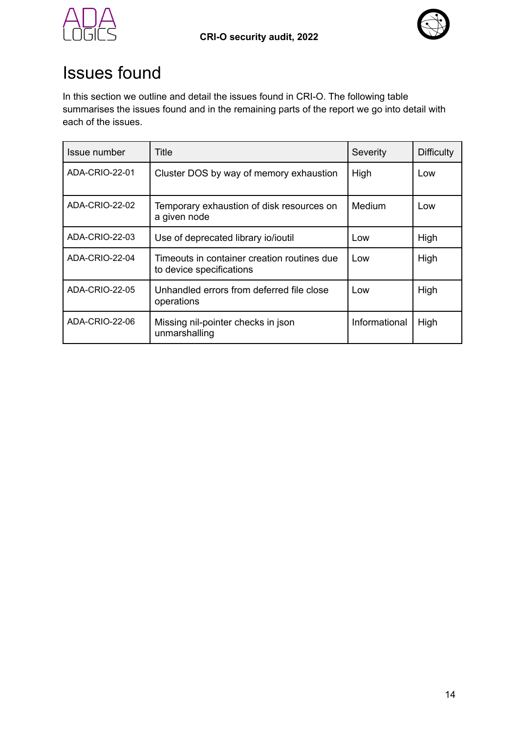



## <span id="page-13-0"></span>Issues found

In this section we outline and detail the issues found in CRI-O. The following table summarises the issues found and in the remaining parts of the report we go into detail with each of the issues.

| Issue number   | Title                                                                   | Severity      | <b>Difficulty</b> |
|----------------|-------------------------------------------------------------------------|---------------|-------------------|
| ADA-CRIO-22-01 | Cluster DOS by way of memory exhaustion                                 | High          | Low               |
| ADA-CRIO-22-02 | Temporary exhaustion of disk resources on<br>a given node               | Medium        | Low               |
| ADA-CRIO-22-03 | Use of deprecated library io/ioutil                                     | Low           | High              |
| ADA-CRIO-22-04 | Timeouts in container creation routines due<br>to device specifications | Low           | High              |
| ADA-CRIO-22-05 | Unhandled errors from deferred file close<br>operations                 | Low           | High              |
| ADA-CRIO-22-06 | Missing nil-pointer checks in json<br>unmarshalling                     | Informational | High              |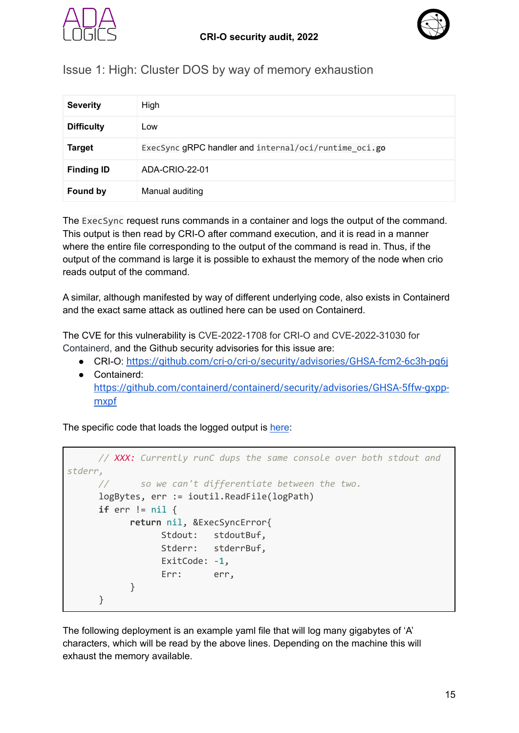



#### <span id="page-14-0"></span>Issue 1: High: Cluster DOS by way of memory exhaustion

| <b>Severity</b>   | High                                                  |
|-------------------|-------------------------------------------------------|
| <b>Difficulty</b> | Low                                                   |
| <b>Target</b>     | ExecSync gRPC handler and internal/oci/runtime oci.go |
| <b>Finding ID</b> | ADA-CRIO-22-01                                        |
| <b>Found by</b>   | Manual auditing                                       |

The ExecSync request runs commands in a container and logs the output of the command. This output is then read by CRI-O after command execution, and it is read in a manner where the entire file corresponding to the output of the command is read in. Thus, if the output of the command is large it is possible to exhaust the memory of the node when crio reads output of the command.

A similar, although manifested by way of different underlying code, also exists in Containerd and the exact same attack as outlined here can be used on Containerd.

The CVE for this vulnerability is CVE-2022-1708 for CRI-O and CVE-2022-31030 for Containerd, and the Github security advisories for this issue are:

- CRI-O: <https://github.com/cri-o/cri-o/security/advisories/GHSA-fcm2-6c3h-pg6j>
- Containerd: [https://github.com/containerd/containerd/security/advisories/GHSA-5ffw-gxpp](https://github.com/containerd/containerd/security/advisories/GHSA-5ffw-gxpp-mxpf)[mxpf](https://github.com/containerd/containerd/security/advisories/GHSA-5ffw-gxpp-mxpf)

The specific code that loads the logged output is [here](https://github.com/cri-o/cri-o/blob/231af7093b86c0dcd0828d9045e8b87bf20ed78e/internal/oci/runtime_oci.go#L582-L592):

```
// XXX: Currently runC dups the same console over both stdout and
stderr,
     // so we can't differentiate between the two.
     logBytes, err := ioutil.ReadFile(logPath)
     if err != nil {
           return nil, &ExecSyncError{
                 Stdout: stdoutBuf,
                 Stderr: stderrBuf,
                 ExitCode: -1,
                 Err: err,
           }
     }
```
The following deployment is an example yaml file that will log many gigabytes of 'A' characters, which will be read by the above lines. Depending on the machine this will exhaust the memory available.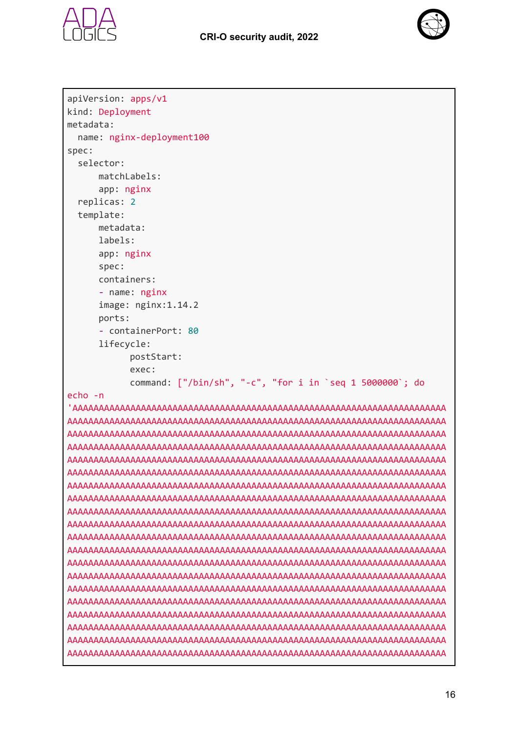



```
apiVersion: apps/v1
kind: Deployment
metadata:
  name: nginx-deployment100
spec:
  selector:
      matchLabels:
      app: nginx
  replicas: 2
  template:
      metadata:
      labels:
      app: nginx
      spec:
      containers:
      - name: nginx
      image: nginx:1.14.2
      ports:
      - containerPort: 80
      lifecycle:
            postStart:
            exec:
            command: ["/bin/sh", "-c", "for i in `seq 1 5000000`; do
echo -n
'AAAAAAAAAAAAAAAAAAAAAAAAAAAAAAAAAAAAAAAAAAAAAAAAAAAAAAAAAAAAAAAAAAAAAAA
AAAAAAAAAAAAAAAAAAAAAAAAAAAAAAAAAAAAAAAAAAAAAAAAAAAAAAAAAAAAAAAAAAAAAAAA
AAAAAAAAAAAAAAAAAAAAAAAAAAAAAAAAAAAAAAAAAAAAAAAAAAAAAAAAAAAAAAAAAAAAAAAA
AAAAAAAAAAAAAAAAAAAAAAAAAAAAAAAAAAAAAAAAAAAAAAAAAAAAAAAAAAAAAAAAAAAAAAAA
AAAAAAAAAAAAAAAAAAAAAAAAAAAAAAAAAAAAAAAAAAAAAAAAAAAAAAAAAAAAAAAAAAAAAAAA
AAAAAAAAAAAAAAAAAAAAAAAAAAAAAAAAAAAAAAAAAAAAAAAAAAAAAAAAAAAAAAAAAAAAAAAA
AAAAAAAAAAAAAAAAAAAAAAAAAAAAAAAAAAAAAAAAAAAAAAAAAAAAAAAAAAAAAAAAAAAAAAAA
AAAAAAAAAAAAAAAAAAAAAAAAAAAAAAAAAAAAAAAAAAAAAAAAAAAAAAAAAAAAAAAAAAAAAAAA
AAAAAAAAAAAAAAAAAAAAAAAAAAAAAAAAAAAAAAAAAAAAAAAAAAAAAAAAAAAAAAAAAAAAAAAA
AAAAAAAAAAAAAAAAAAAAAAAAAAAAAAAAAAAAAAAAAAAAAAAAAAAAAAAAAAAAAAAAAAAAAAAA
AAAAAAAAAAAAAAAAAAAAAAAAAAAAAAAAAAAAAAAAAAAAAAAAAAAAAAAAAAAAAAAAAAAAAAAA
AAAAAAAAAAAAAAAAAAAAAAAAAAAAAAAAAAAAAAAAAAAAAAAAAAAAAAAAAAAAAAAAAAAAAAAA
AAAAAAAAAAAAAAAAAAAAAAAAAAAAAAAAAAAAAAAAAAAAAAAAAAAAAAAAAAAAAAAAAAAAAAAA
AAAAAAAAAAAAAAAAAAAAAAAAAAAAAAAAAAAAAAAAAAAAAAAAAAAAAAAAAAAAAAAAAAAAAAAA
AAAAAAAAAAAAAAAAAAAAAAAAAAAAAAAAAAAAAAAAAAAAAAAAAAAAAAAAAAAAAAAAAAAAAAAA
AAAAAAAAAAAAAAAAAAAAAAAAAAAAAAAAAAAAAAAAAAAAAAAAAAAAAAAAAAAAAAAAAAAAAAAA
AAAAAAAAAAAAAAAAAAAAAAAAAAAAAAAAAAAAAAAAAAAAAAAAAAAAAAAAAAAAAAAAAAAAAAAA
AAAAAAAAAAAAAAAAAAAAAAAAAAAAAAAAAAAAAAAAAAAAAAAAAAAAAAAAAAAAAAAAAAAAAAAA
AAAAAAAAAAAAAAAAAAAAAAAAAAAAAAAAAAAAAAAAAAAAAAAAAAAAAAAAAAAAAAAAAAAAAAAA
AAAAAAAAAAAAAAAAAAAAAAAAAAAAAAAAAAAAAAAAAAAAAAAAAAAAAAAAAAAAAAAAAAAAAAAA
```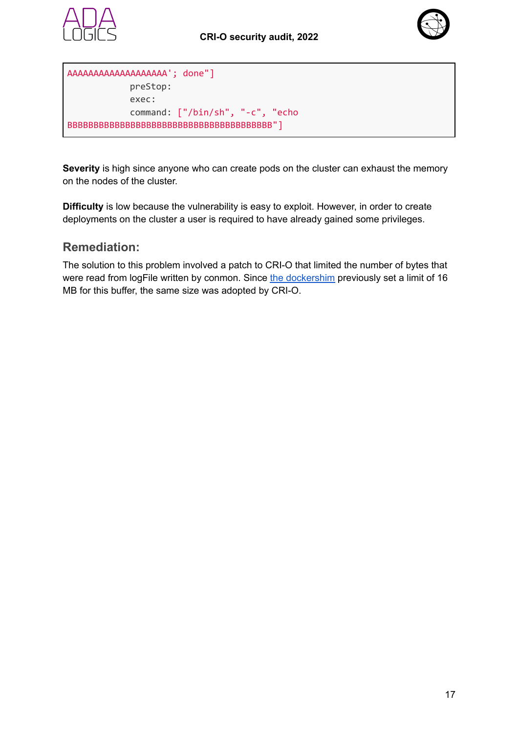



```
AAAAAAAAAAAAAAAAAAA'; done"]
            preStop:
            exec:
            command: ["/bin/sh", "-c", "echo
BBBBBBBBBBBBBBBBBBBBBBBBBBBBBBBBBBBBBBB"]
```
**Severity** is high since anyone who can create pods on the cluster can exhaust the memory on the nodes of the cluster.

**Difficulty** is low because the vulnerability is easy to exploit. However, in order to create deployments on the cluster a user is required to have already gained some privileges.

#### **Remediation:**

<span id="page-16-0"></span>The solution to this problem involved a patch to CRI-O that limited the number of bytes that were read from logFile written by conmon. Since the [dockershim](https://github.com/dims/kubernetes/blob/5706a13bd6f5444f7dbadf5478e4912a1c8b9937/pkg/kubelet/dockershim/docker_streaming.go#L83-L84) previously set a limit of 16 MB for this buffer, the same size was adopted by CRI-O.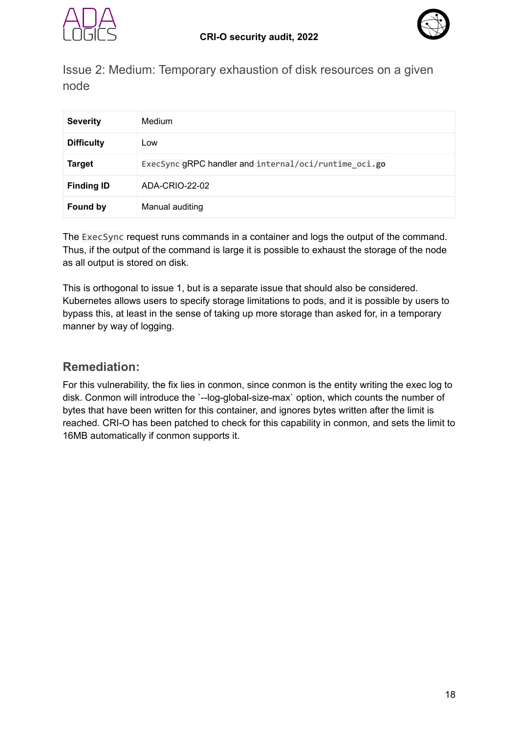



Issue 2: Medium: Temporary exhaustion of disk resources on a given node

| <b>Severity</b>   | Medium                                                |
|-------------------|-------------------------------------------------------|
| <b>Difficulty</b> | Low                                                   |
| <b>Target</b>     | ExecSync gRPC handler and internal/oci/runtime_oci.go |
| <b>Finding ID</b> | ADA-CRIO-22-02                                        |
| <b>Found by</b>   | Manual auditing                                       |

The ExecSync request runs commands in a container and logs the output of the command. Thus, if the output of the command is large it is possible to exhaust the storage of the node as all output is stored on disk.

This is orthogonal to issue 1, but is a separate issue that should also be considered. Kubernetes allows users to specify storage limitations to pods, and it is possible by users to bypass this, at least in the sense of taking up more storage than asked for, in a temporary manner by way of logging.

#### **Remediation:**

<span id="page-17-0"></span>For this vulnerability, the fix lies in conmon, since conmon is the entity writing the exec log to disk. Conmon will introduce the `--log-global-size-max` option, which counts the number of bytes that have been written for this container, and ignores bytes written after the limit is reached. CRI-O has been patched to check for this capability in conmon, and sets the limit to 16MB automatically if conmon supports it.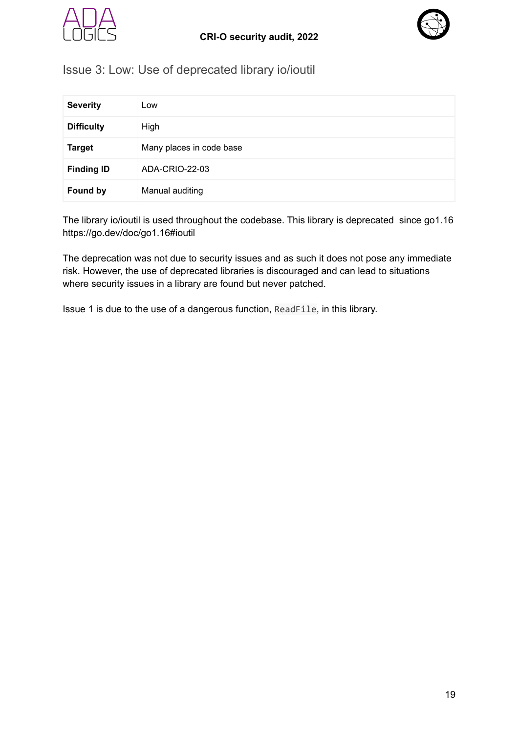



#### Issue 3: Low: Use of deprecated library io/ioutil

| <b>Severity</b>   | Low                      |
|-------------------|--------------------------|
| <b>Difficulty</b> | High                     |
| <b>Target</b>     | Many places in code base |
| <b>Finding ID</b> | ADA-CRIO-22-03           |
| <b>Found by</b>   | Manual auditing          |

The library io/ioutil is used throughout the codebase. This library is deprecated since go1.16 https://go.dev/doc/go1.16#ioutil

The deprecation was not due to security issues and as such it does not pose any immediate risk. However, the use of deprecated libraries is discouraged and can lead to situations where security issues in a library are found but never patched.

Issue 1 is due to the use of a dangerous function, ReadFile, in this library.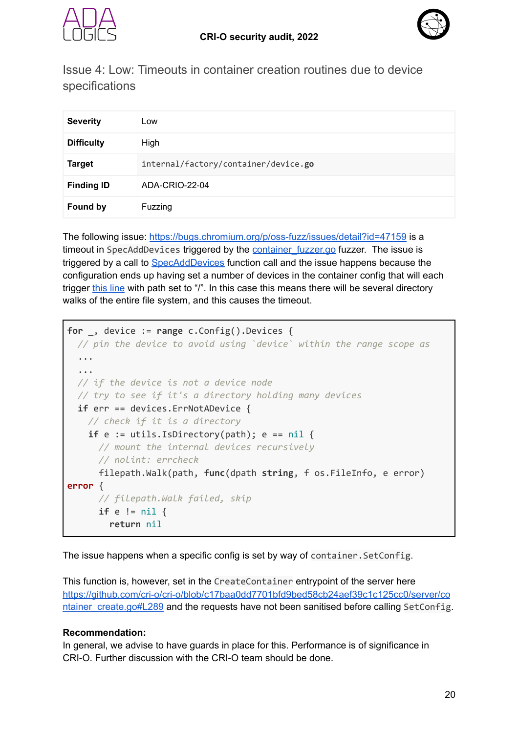



<span id="page-19-0"></span>Issue 4: Low: Timeouts in container creation routines due to device specifications

| <b>Severity</b>   | Low                                  |
|-------------------|--------------------------------------|
| <b>Difficulty</b> | High                                 |
| <b>Target</b>     | internal/factory/container/device.go |
| <b>Finding ID</b> | ADA-CRIO-22-04                       |
| <b>Found by</b>   | Fuzzing                              |

The following issue: <https://bugs.chromium.org/p/oss-fuzz/issues/detail?id=47159> is a timeout in SpecAddDevices triggered by the container fuzzer.go fuzzer. The issue is triggered by a call to [SpecAddDevices](https://github.com/cncf/cncf-fuzzing/blob/5c8fd77a6f32444f753b8dc1d58b010b8333f6da/projects/cri-o/container_fuzzer.go#L88) function call and the issue happens because the configuration ends up having set a number of devices in the container config that will each trigger [this](https://github.com/cri-o/cri-o/blob/f1d3a46642377d9bf4cb79255020b07578023540/internal/factory/container/device.go#L141) line with path set to "/". In this case this means there will be several directory walks of the entire file system, and this causes the timeout.

```
for _, device := range c.Config().Devices {
 // pin the device to avoid using `device` within the range scope as
  ...
  ...
 // if the device is not a device node
 // try to see if it's a directory holding many devices
 if err == devices.ErrNotADevice {
   // check if it is a directory
    if e := \text{utils.JsDirectory(path)}; e == \text{nil } f// mount the internal devices recursively
      // nolint: errcheck
      filepath.Walk(path, func(dpath string, f os.FileInfo, e error)
error {
      // filepath.Walk failed, skip
      if e != nil {
        return nil
```
The issue happens when a specific config is set by way of container.SetConfig.

This function is, however, set in the CreateContainer entrypoint of the server here [https://github.com/cri-o/cri-o/blob/c17baa0dd7701bfd9bed58cb24aef39c1c125cc0/server/co](https://github.com/cri-o/cri-o/blob/c17baa0dd7701bfd9bed58cb24aef39c1c125cc0/server/container_create.go#L289) [ntainer\\_create.go#L289](https://github.com/cri-o/cri-o/blob/c17baa0dd7701bfd9bed58cb24aef39c1c125cc0/server/container_create.go#L289) and the requests have not been sanitised before calling SetConfig.

#### **Recommendation:**

In general, we advise to have guards in place for this. Performance is of significance in CRI-O. Further discussion with the CRI-O team should be done.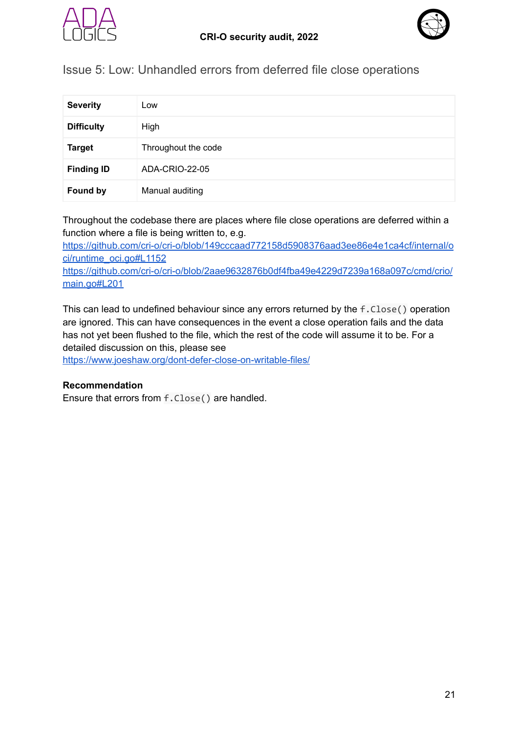



<span id="page-20-0"></span>Issue 5: Low: Unhandled errors from deferred file close operations

| <b>Severity</b>   | Low                 |
|-------------------|---------------------|
| <b>Difficulty</b> | High                |
| <b>Target</b>     | Throughout the code |
| <b>Finding ID</b> | ADA-CRIO-22-05      |
| <b>Found by</b>   | Manual auditing     |

Throughout the codebase there are places where file close operations are deferred within a function where a file is being written to, e.g.

[https://github.com/cri-o/cri-o/blob/149cccaad772158d5908376aad3ee86e4e1ca4cf/internal/o](https://github.com/cri-o/cri-o/blob/149cccaad772158d5908376aad3ee86e4e1ca4cf/internal/oci/runtime_oci.go#L1152) [ci/runtime\\_oci.go#L1152](https://github.com/cri-o/cri-o/blob/149cccaad772158d5908376aad3ee86e4e1ca4cf/internal/oci/runtime_oci.go#L1152) [https://github.com/cri-o/cri-o/blob/2aae9632876b0df4fba49e4229d7239a168a097c/cmd/crio/](https://github.com/cri-o/cri-o/blob/2aae9632876b0df4fba49e4229d7239a168a097c/cmd/crio/main.go#L201) [main.go#L201](https://github.com/cri-o/cri-o/blob/2aae9632876b0df4fba49e4229d7239a168a097c/cmd/crio/main.go#L201)

This can lead to undefined behaviour since any errors returned by the f.Close() operation are ignored. This can have consequences in the event a close operation fails and the data has not yet been flushed to the file, which the rest of the code will assume it to be. For a detailed discussion on this, please see

<https://www.joeshaw.org/dont-defer-close-on-writable-files/>

#### **Recommendation**

Ensure that errors from f.Close() are handled.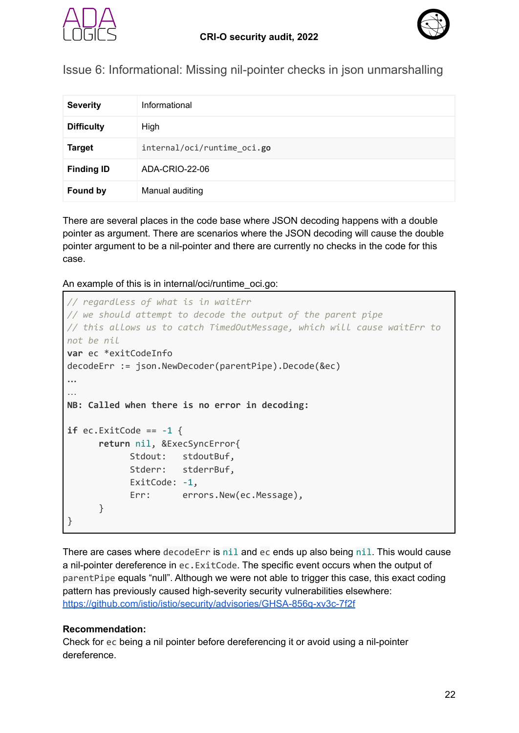



<span id="page-21-0"></span>Issue 6: Informational: Missing nil-pointer checks in json unmarshalling

| <b>Severity</b>   | Informational               |
|-------------------|-----------------------------|
| <b>Difficulty</b> | High                        |
| <b>Target</b>     | internal/oci/runtime_oci.go |
| <b>Finding ID</b> | ADA-CRIO-22-06              |
| <b>Found by</b>   | Manual auditing             |

There are several places in the code base where JSON decoding happens with a double pointer as argument. There are scenarios where the JSON decoding will cause the double pointer argument to be a nil-pointer and there are currently no checks in the code for this case.

An example of this is in internal/oci/runtime\_oci.go:

```
// regardless of what is in waitErr
// we should attempt to decode the output of the parent pipe
// this allows us to catch TimedOutMessage, which will cause waitErr to
not be nil
var ec *exitCodeInfo
decodeErr := json.NewDecoder(parentPipe).Decode(&ec)
…
…
NB: Called when there is no error in decoding:
if ec.ExitCode == -1 {
      return nil, &ExecSyncError{
            Stdout: stdoutBuf,
            Stderr: stderrBuf,
            ExitCode: -1,
            Err: errors.New(ec.Message),
      }
}
```
There are cases where decodeErr is nil and ec ends up also being nil. This would cause a nil-pointer dereference in ec.ExitCode. The specific event occurs when the output of parentPipe equals "null". Although we were not able to trigger this case, this exact coding pattern has previously caused high-severity security vulnerabilities elsewhere: <https://github.com/istio/istio/security/advisories/GHSA-856q-xv3c-7f2f>

#### **Recommendation:**

Check for ec being a nil pointer before dereferencing it or avoid using a nil-pointer dereference.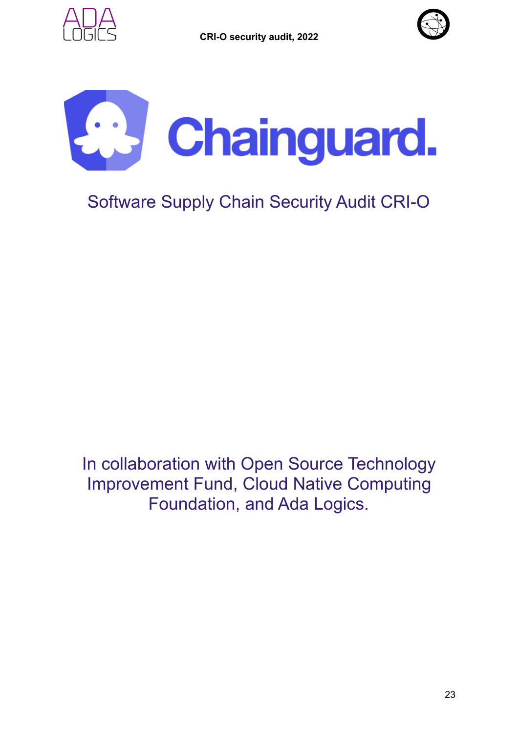



<span id="page-22-0"></span>

## Software Supply Chain Security Audit CRI-O

In collaboration with Open Source Technology Improvement Fund, Cloud Native Computing Foundation, and Ada Logics.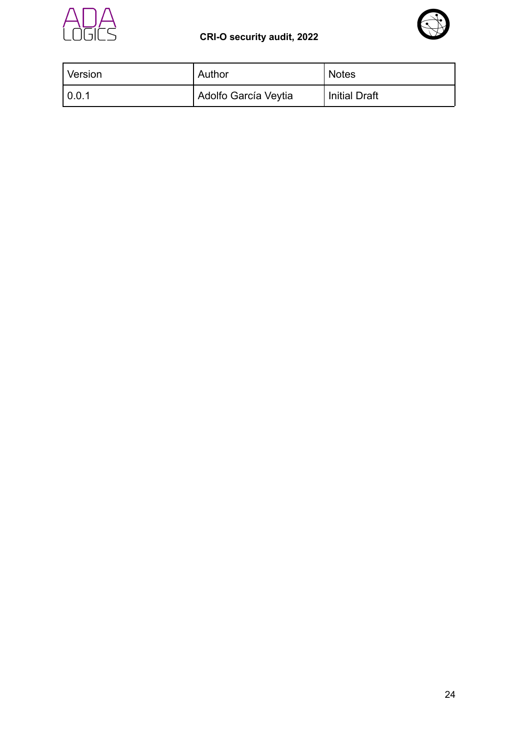

#### **CRI-O security audit, 2022**



| Version      | Author               | Notes                |
|--------------|----------------------|----------------------|
| $\mid$ 0.0.1 | Adolfo García Veytia | <b>Initial Draft</b> |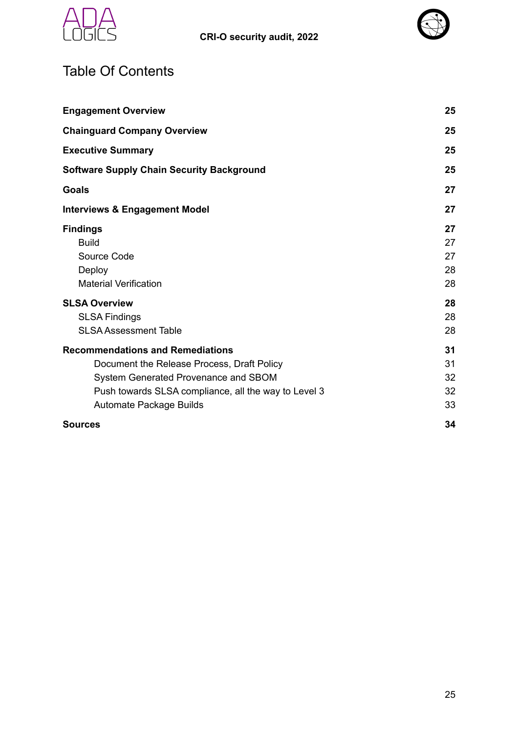



## <span id="page-24-0"></span>Table Of Contents

| <b>Engagement Overview</b>                                                                                                                                                                                       | 25                         |
|------------------------------------------------------------------------------------------------------------------------------------------------------------------------------------------------------------------|----------------------------|
| <b>Chainguard Company Overview</b>                                                                                                                                                                               | 25                         |
| <b>Executive Summary</b>                                                                                                                                                                                         | 25                         |
| <b>Software Supply Chain Security Background</b>                                                                                                                                                                 | 25                         |
| Goals                                                                                                                                                                                                            | 27                         |
| <b>Interviews &amp; Engagement Model</b>                                                                                                                                                                         | 27                         |
| <b>Findings</b><br><b>Build</b><br>Source Code<br>Deploy<br><b>Material Verification</b>                                                                                                                         | 27<br>27<br>27<br>28<br>28 |
| <b>SLSA Overview</b><br><b>SLSA Findings</b><br><b>SLSA Assessment Table</b>                                                                                                                                     | 28<br>28<br>28             |
| <b>Recommendations and Remediations</b><br>Document the Release Process, Draft Policy<br>System Generated Provenance and SBOM<br>Push towards SLSA compliance, all the way to Level 3<br>Automate Package Builds | 31<br>31<br>32<br>32<br>33 |
| <b>Sources</b>                                                                                                                                                                                                   | 34                         |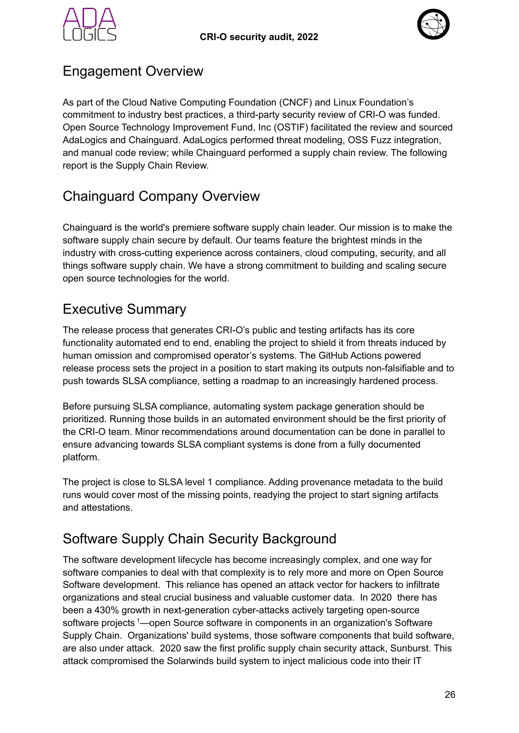



### <span id="page-25-0"></span>Engagement Overview

As part of the Cloud Native Computing Foundation (CNCF) and Linux Foundation's commitment to industry best practices, a third-party security review of CRI-O was funded. Open Source Technology Improvement Fund, Inc (OSTIF) facilitated the review and sourced AdaLogics and Chainguard. AdaLogics performed threat modeling, OSS Fuzz integration, and manual code review; while Chainguard performed a supply chain review. The following report is the Supply Chain Review.

## <span id="page-25-1"></span>Chainguard Company Overview

Chainguard is the world's premiere software supply chain leader. Our mission is to make the software supply chain secure by default. Our teams feature the brightest minds in the industry with cross-cutting experience across containers, cloud computing, security, and all things software supply chain. We have a strong commitment to building and scaling secure open source technologies for the world.

## <span id="page-25-2"></span>Executive Summary

The release process that generates CRI-O's public and testing artifacts has its core functionality automated end to end, enabling the project to shield it from threats induced by human omission and compromised operator's systems. The GitHub Actions powered release process sets the project in a position to start making its outputs non-falsifiable and to push towards SLSA compliance, setting a roadmap to an increasingly hardened process.

Before pursuing SLSA compliance, automating system package generation should be prioritized. Running those builds in an automated environment should be the first priority of the CRI-O team. Minor recommendations around documentation can be done in parallel to ensure advancing towards SLSA compliant systems is done from a fully documented platform.

The project is close to SLSA level 1 compliance. Adding provenance metadata to the build runs would cover most of the missing points, readying the project to start signing artifacts and attestations.

## <span id="page-25-3"></span>Software Supply Chain Security Background

The software development lifecycle has become increasingly complex, and one way for software companies to deal with that complexity is to rely more and more on Open Source Software development. This reliance has opened an attack vector for hackers to infiltrate organizations and steal crucial business and valuable customer data. In 2020 there has been a 430% growth in next-generation cyber-attacks actively targeting open-source software projects<sup>1</sup>—open Source software in components in an organization's Software Supply Chain. Organizations' build systems, those software components that build software, are also under attack. 2020 saw the first prolific supply chain security attack, Sunburst. This attack compromised the Solarwinds build system to inject malicious code into their IT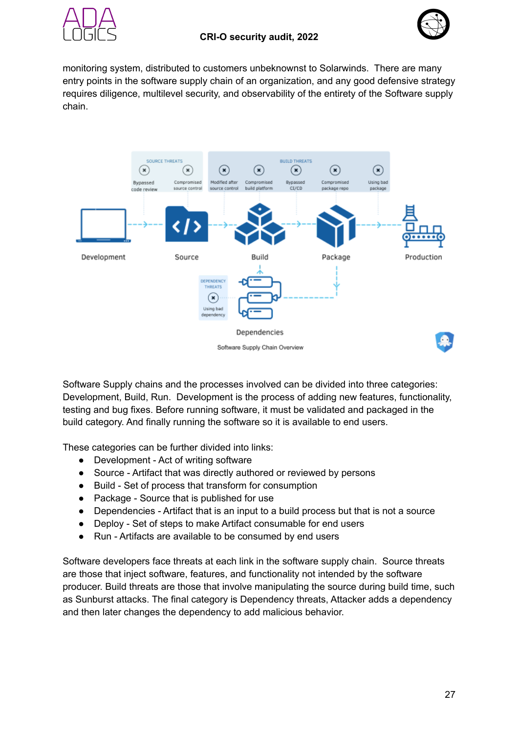



monitoring system, distributed to customers unbeknownst to Solarwinds. There are many entry points in the software supply chain of an organization, and any good defensive strategy requires diligence, multilevel security, and observability of the entirety of the Software supply chain.



Software Supply chains and the processes involved can be divided into three categories: Development, Build, Run. Development is the process of adding new features, functionality, testing and bug fixes. Before running software, it must be validated and packaged in the build category. And finally running the software so it is available to end users.

These categories can be further divided into links:

- Development Act of writing software
- Source Artifact that was directly authored or reviewed by persons
- Build Set of process that transform for consumption
- Package Source that is published for use
- Dependencies Artifact that is an input to a build process but that is not a source
- Deploy Set of steps to make Artifact consumable for end users
- Run Artifacts are available to be consumed by end users

Software developers face threats at each link in the software supply chain. Source threats are those that inject software, features, and functionality not intended by the software producer. Build threats are those that involve manipulating the source during build time, such as Sunburst attacks. The final category is Dependency threats, Attacker adds a dependency and then later changes the dependency to add malicious behavior.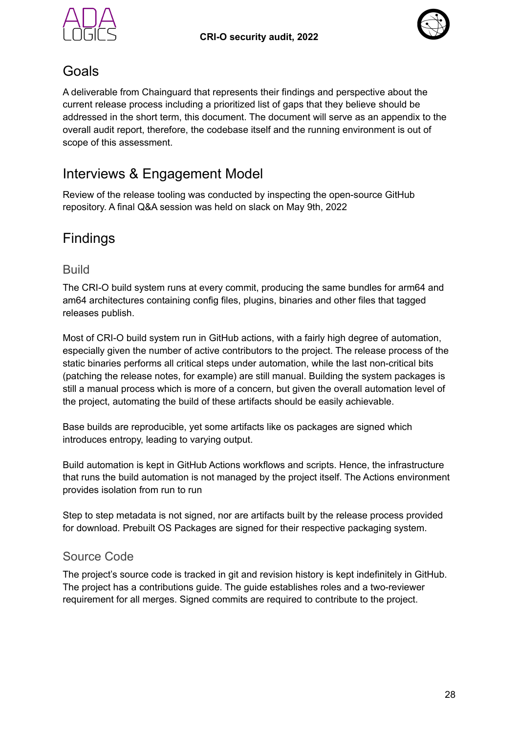



### <span id="page-27-0"></span>Goals

A deliverable from Chainguard that represents their findings and perspective about the current release process including a prioritized list of gaps that they believe should be addressed in the short term, this document. The document will serve as an appendix to the overall audit report, therefore, the codebase itself and the running environment is out of scope of this assessment.

## <span id="page-27-1"></span>Interviews & Engagement Model

Review of the release tooling was conducted by inspecting the open-source GitHub repository. A final Q&A session was held on slack on May 9th, 2022

## <span id="page-27-2"></span>Findings

#### <span id="page-27-3"></span>Build

The CRI-O build system runs at every commit, producing the same bundles for arm64 and am64 architectures containing config files, plugins, binaries and other files that tagged releases publish.

Most of CRI-O build system run in GitHub actions, with a fairly high degree of automation, especially given the number of active contributors to the project. The release process of the static binaries performs all critical steps under automation, while the last non-critical bits (patching the release notes, for example) are still manual. Building the system packages is still a manual process which is more of a concern, but given the overall automation level of the project, automating the build of these artifacts should be easily achievable.

Base builds are reproducible, yet some artifacts like os packages are signed which introduces entropy, leading to varying output.

Build automation is kept in GitHub Actions workflows and scripts. Hence, the infrastructure that runs the build automation is not managed by the project itself. The Actions environment provides isolation from run to run

Step to step metadata is not signed, nor are artifacts built by the release process provided for download. Prebuilt OS Packages are signed for their respective packaging system.

#### <span id="page-27-4"></span>Source Code

The project's source code is tracked in git and revision history is kept indefinitely in GitHub. The project has a contributions guide. The guide establishes roles and a two-reviewer requirement for all merges. Signed commits are required to contribute to the project.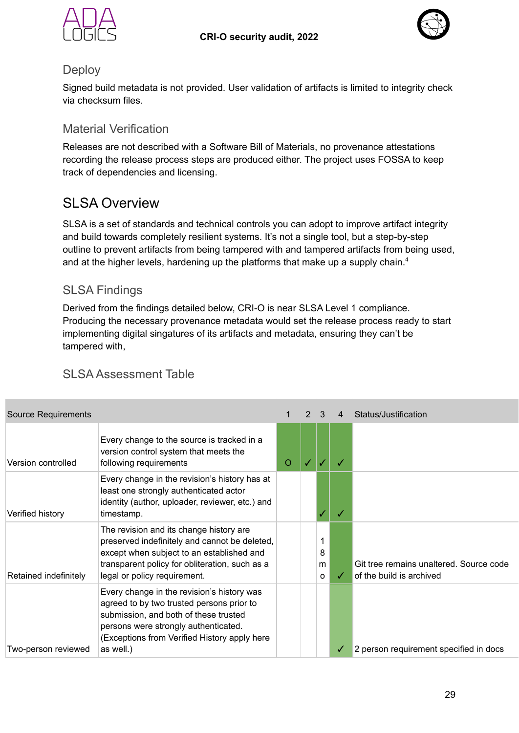



#### <span id="page-28-0"></span>**Deploy**

Signed build metadata is not provided. User validation of artifacts is limited to integrity check via checksum files.

#### <span id="page-28-1"></span>Material Verification

Releases are not described with a Software Bill of Materials, no provenance attestations recording the release process steps are produced either. The project uses FOSSA to keep track of dependencies and licensing.

### <span id="page-28-2"></span>SI SA Overview

SLSA is a set of standards and technical controls you can adopt to improve artifact integrity and build towards completely resilient systems. It's not a single tool, but a step-by-step outline to prevent artifacts from being tampered with and tampered artifacts from being used, and at the higher levels, hardening up the platforms that make up a supply chain.<sup>4</sup>

#### <span id="page-28-3"></span>SLSA Findings

Derived from the findings detailed below, CRI-O is near SLSA Level 1 compliance. Producing the necessary provenance metadata would set the release process ready to start implementing digital singatures of its artifacts and metadata, ensuring they can't be tampered with,

#### <span id="page-28-4"></span>SLSA Assessment Table

| <b>Source Requirements</b> |                                                                                                                                                                                                                                       |   |                    | 4 | Status/Justification                                                |
|----------------------------|---------------------------------------------------------------------------------------------------------------------------------------------------------------------------------------------------------------------------------------|---|--------------------|---|---------------------------------------------------------------------|
| Version controlled         | Every change to the source is tracked in a<br>version control system that meets the<br>following requirements                                                                                                                         | O |                    |   |                                                                     |
| Verified history           | Every change in the revision's history has at<br>least one strongly authenticated actor<br>identity (author, uploader, reviewer, etc.) and<br>timestamp.                                                                              |   |                    |   |                                                                     |
| Retained indefinitely      | The revision and its change history are<br>preserved indefinitely and cannot be deleted,<br>except when subject to an established and<br>transparent policy for obliteration, such as a<br>legal or policy requirement.               |   | 8<br>m<br>$\Omega$ | ✓ | Git tree remains unaltered. Source code<br>of the build is archived |
| Two-person reviewed        | Every change in the revision's history was<br>agreed to by two trusted persons prior to<br>submission, and both of these trusted<br>persons were strongly authenticated.<br>(Exceptions from Verified History apply here<br>as well.) |   |                    | ✓ | 2 person requirement specified in docs                              |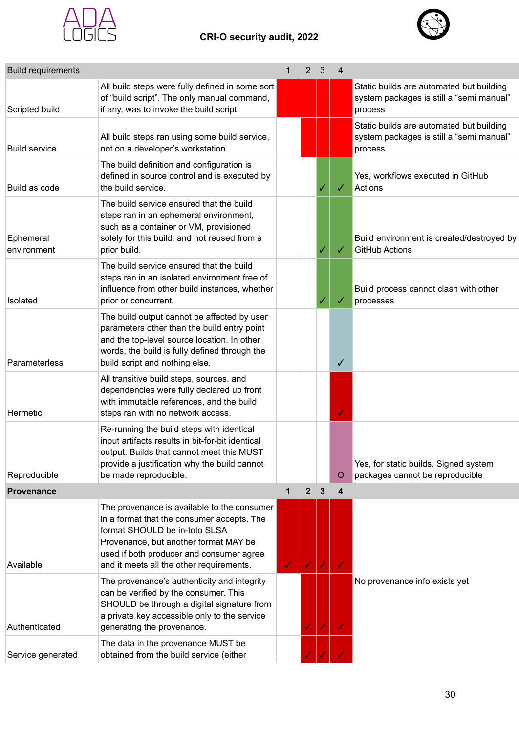



| <b>Build requirements</b> |                                                                                                                                                                                                                                                             | 1 | 2            | 3            | 4            |                                                                                                 |
|---------------------------|-------------------------------------------------------------------------------------------------------------------------------------------------------------------------------------------------------------------------------------------------------------|---|--------------|--------------|--------------|-------------------------------------------------------------------------------------------------|
| Scripted build            | All build steps were fully defined in some sort<br>of "build script". The only manual command,<br>if any, was to invoke the build script.                                                                                                                   |   |              |              |              | Static builds are automated but building<br>system packages is still a "semi manual"<br>process |
| <b>Build service</b>      | All build steps ran using some build service,<br>not on a developer's workstation.                                                                                                                                                                          |   |              |              |              | Static builds are automated but building<br>system packages is still a "semi manual"<br>process |
| Build as code             | The build definition and configuration is<br>defined in source control and is executed by<br>the build service.                                                                                                                                             |   |              |              | ✓            | Yes, workflows executed in GitHub<br>Actions                                                    |
| Ephemeral<br>environment  | The build service ensured that the build<br>steps ran in an ephemeral environment,<br>such as a container or VM, provisioned<br>solely for this build, and not reused from a<br>prior build.                                                                |   |              |              | ✓            | Build environment is created/destroyed by<br><b>GitHub Actions</b>                              |
| Isolated                  | The build service ensured that the build<br>steps ran in an isolated environment free of<br>influence from other build instances, whether<br>prior or concurrent.                                                                                           |   |              |              |              | Build process cannot clash with other<br>processes                                              |
| Parameterless             | The build output cannot be affected by user<br>parameters other than the build entry point<br>and the top-level source location. In other<br>words, the build is fully defined through the<br>build script and nothing else.                                |   |              |              | $\checkmark$ |                                                                                                 |
| Hermetic                  | All transitive build steps, sources, and<br>dependencies were fully declared up front<br>with immutable references, and the build<br>steps ran with no network access.                                                                                      |   |              |              | ✓            |                                                                                                 |
| Reproducible              | Re-running the build steps with identical<br>input artifacts results in bit-for-bit identical<br>output. Builds that cannot meet this MUST<br>provide a justification why the build cannot<br>be made reproducible.                                         |   |              |              | O            | Yes, for static builds. Signed system<br>packages cannot be reproducible                        |
| <b>Provenance</b>         |                                                                                                                                                                                                                                                             | 1 | $\mathbf{2}$ | $\mathbf{3}$ | 4            |                                                                                                 |
| Available                 | The provenance is available to the consumer<br>in a format that the consumer accepts. The<br>format SHOULD be in-toto SLSA<br>Provenance, but another format MAY be<br>used if both producer and consumer agree<br>and it meets all the other requirements. | J |              |              |              |                                                                                                 |
| Authenticated             | The provenance's authenticity and integrity<br>can be verified by the consumer. This<br>SHOULD be through a digital signature from<br>a private key accessible only to the service<br>generating the provenance.                                            |   |              |              |              | No provenance info exists yet                                                                   |
| Service generated         | The data in the provenance MUST be<br>obtained from the build service (either                                                                                                                                                                               |   |              |              |              |                                                                                                 |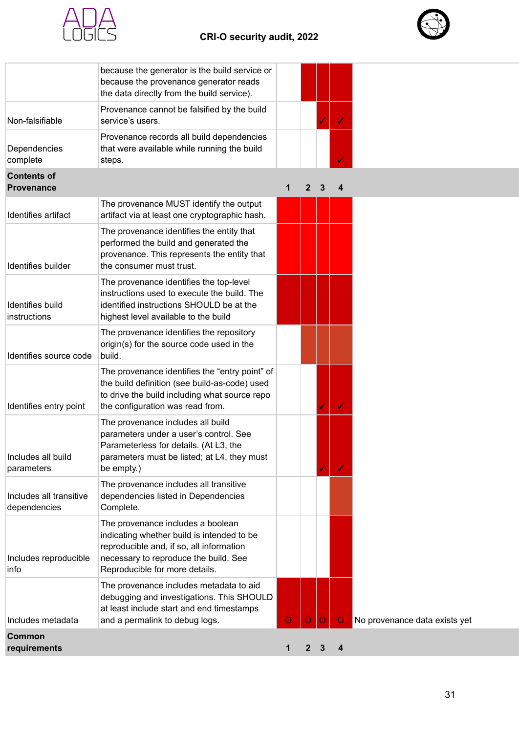

#### **CRI-O security audit, 2022**



|                                         | because the generator is the build service or<br>because the provenance generator reads<br>the data directly from the build service).                                                                  |         |              |   |         |                               |
|-----------------------------------------|--------------------------------------------------------------------------------------------------------------------------------------------------------------------------------------------------------|---------|--------------|---|---------|-------------------------------|
| Non-falsifiable                         | Provenance cannot be falsified by the build<br>service's users.                                                                                                                                        |         |              |   |         |                               |
| Dependencies<br>complete                | Provenance records all build dependencies<br>that were available while running the build<br>steps.                                                                                                     |         |              |   |         |                               |
| <b>Contents of</b><br><b>Provenance</b> |                                                                                                                                                                                                        | 1       | $\mathbf{2}$ | 3 | 4       |                               |
| Identifies artifact                     | The provenance MUST identify the output<br>artifact via at least one cryptographic hash.                                                                                                               |         |              |   |         |                               |
| Identifies builder                      | The provenance identifies the entity that<br>performed the build and generated the<br>provenance. This represents the entity that<br>the consumer must trust.                                          |         |              |   |         |                               |
| <b>Identifies build</b><br>instructions | The provenance identifies the top-level<br>instructions used to execute the build. The<br>identified instructions SHOULD be at the<br>highest level available to the build                             |         |              |   |         |                               |
| Identifies source code                  | The provenance identifies the repository<br>origin(s) for the source code used in the<br>build.                                                                                                        |         |              |   |         |                               |
| Identifies entry point                  | The provenance identifies the "entry point" of<br>the build definition (see build-as-code) used<br>to drive the build including what source repo<br>the configuration was read from.                   |         |              |   | ✓       |                               |
| Includes all build<br>parameters        | The provenance includes all build<br>parameters under a user's control. See<br>Parameterless for details. (At L3, the<br>parameters must be listed; at L4, they must<br>be empty.)                     |         |              |   | ✓       |                               |
| Includes all transitive<br>dependencies | The provenance includes all transitive<br>dependencies listed in Dependencies<br>Complete.                                                                                                             |         |              |   |         |                               |
| Includes reproducible<br>info           | The provenance includes a boolean<br>indicating whether build is intended to be<br>reproducible and, if so, all information<br>necessary to reproduce the build. See<br>Reproducible for more details. |         |              |   |         |                               |
| Includes metadata                       | The provenance includes metadata to aid<br>debugging and investigations. This SHOULD<br>at least include start and end timestamps<br>and a permalink to debug logs.                                    | $\circ$ |              |   | $\circ$ | No provenance data exists yet |
| <b>Common</b><br>requirements           |                                                                                                                                                                                                        | 1       | $\mathbf{2}$ | 3 | 4       |                               |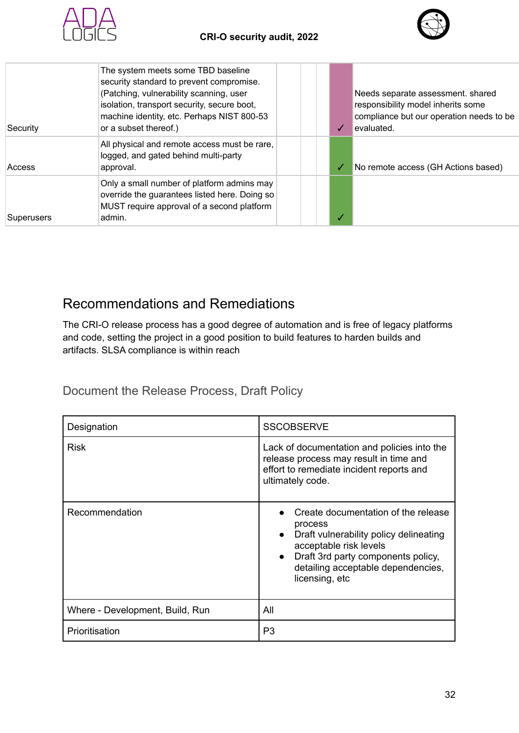



| Security          | The system meets some TBD baseline<br>security standard to prevent compromise.<br>(Patching, vulnerability scanning, user<br>isolation, transport security, secure boot,<br>machine identity, etc. Perhaps NIST 800-53<br>or a subset thereof.) |  |  | Needs separate assessment. shared<br>responsibility model inherits some<br>compliance but our operation needs to be<br>levaluated. |
|-------------------|-------------------------------------------------------------------------------------------------------------------------------------------------------------------------------------------------------------------------------------------------|--|--|------------------------------------------------------------------------------------------------------------------------------------|
| Access            | All physical and remote access must be rare,<br>logged, and gated behind multi-party<br>approval.                                                                                                                                               |  |  | No remote access (GH Actions based)                                                                                                |
| <b>Superusers</b> | Only a small number of platform admins may<br>override the guarantees listed here. Doing so<br>MUST require approval of a second platform<br>admin.                                                                                             |  |  |                                                                                                                                    |

### <span id="page-31-0"></span>Recommendations and Remediations

The CRI-O release process has a good degree of automation and is free of legacy platforms and code, setting the project in a good position to build features to harden builds and artifacts. SLSA compliance is within reach

<span id="page-31-1"></span>Document the Release Process, Draft Policy

| Designation                     | <b>SSCOBSERVE</b>                                                                                                                                                                                                                          |
|---------------------------------|--------------------------------------------------------------------------------------------------------------------------------------------------------------------------------------------------------------------------------------------|
| Risk                            | Lack of documentation and policies into the<br>release process may result in time and<br>effort to remediate incident reports and<br>ultimately code.                                                                                      |
| Recommendation                  | Create documentation of the release<br>process<br>Draft vulnerability policy delineating<br>$\bullet$<br>acceptable risk levels<br>Draft 3rd party components policy,<br>$\bullet$<br>detailing acceptable dependencies,<br>licensing, etc |
| Where - Development, Build, Run | All                                                                                                                                                                                                                                        |
| Prioritisation                  | P3                                                                                                                                                                                                                                         |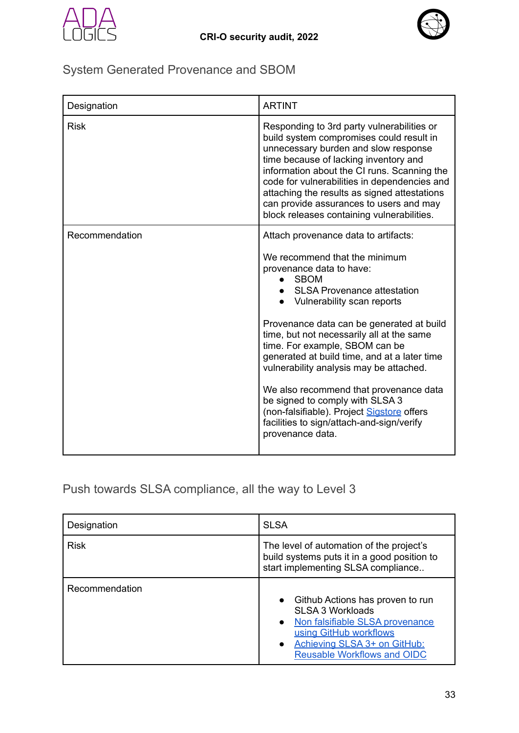



## <span id="page-32-0"></span>System Generated Provenance and SBOM

| Designation    | <b>ARTINT</b>                                                                                                                                                                                                                                                                                                                                                                                                                                                                                                                                                                                      |
|----------------|----------------------------------------------------------------------------------------------------------------------------------------------------------------------------------------------------------------------------------------------------------------------------------------------------------------------------------------------------------------------------------------------------------------------------------------------------------------------------------------------------------------------------------------------------------------------------------------------------|
| <b>Risk</b>    | Responding to 3rd party vulnerabilities or<br>build system compromises could result in<br>unnecessary burden and slow response<br>time because of lacking inventory and<br>information about the CI runs. Scanning the<br>code for vulnerabilities in dependencies and<br>attaching the results as signed attestations<br>can provide assurances to users and may<br>block releases containing vulnerabilities.                                                                                                                                                                                    |
| Recommendation | Attach provenance data to artifacts:<br>We recommend that the minimum<br>provenance data to have:<br><b>SBOM</b><br>• SLSA Provenance attestation<br>Vulnerability scan reports<br>Provenance data can be generated at build<br>time, but not necessarily all at the same<br>time. For example, SBOM can be<br>generated at build time, and at a later time<br>vulnerability analysis may be attached.<br>We also recommend that provenance data<br>be signed to comply with SLSA 3<br>(non-falsifiable). Project Sigstore offers<br>facilities to sign/attach-and-sign/verify<br>provenance data. |

### <span id="page-32-1"></span>Push towards SLSA compliance, all the way to Level 3

| Designation    | <b>SLSA</b>                                                                                                                                                                                                 |
|----------------|-------------------------------------------------------------------------------------------------------------------------------------------------------------------------------------------------------------|
| <b>Risk</b>    | The level of automation of the project's<br>build systems puts it in a good position to<br>start implementing SLSA compliance                                                                               |
| Recommendation | Github Actions has proven to run<br><b>SLSA 3 Workloads</b><br>Non falsifiable SLSA provenance<br>$\bullet$<br>using GitHub workflows<br>Achieving SLSA 3+ on GitHub:<br><b>Reusable Workflows and OIDC</b> |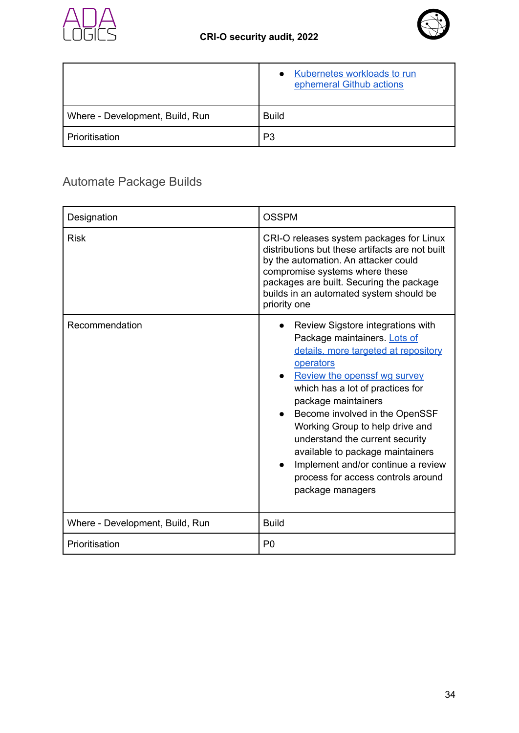



|                                 | Kubernetes workloads to run<br>$\bullet$<br>ephemeral Github actions |
|---------------------------------|----------------------------------------------------------------------|
| Where - Development, Build, Run | <b>Build</b>                                                         |
| Prioritisation                  | P3                                                                   |

## <span id="page-33-0"></span>Automate Package Builds

| Designation                     | <b>OSSPM</b>                                                                                                                                                                                                                                                                                                                                                                                                                                                  |  |  |  |
|---------------------------------|---------------------------------------------------------------------------------------------------------------------------------------------------------------------------------------------------------------------------------------------------------------------------------------------------------------------------------------------------------------------------------------------------------------------------------------------------------------|--|--|--|
| <b>Risk</b>                     | CRI-O releases system packages for Linux<br>distributions but these artifacts are not built<br>by the automation. An attacker could<br>compromise systems where these<br>packages are built. Securing the package<br>builds in an automated system should be<br>priority one                                                                                                                                                                                  |  |  |  |
| Recommendation                  | Review Sigstore integrations with<br>Package maintainers. Lots of<br>details, more targeted at repository<br>operators<br>Review the openssf wg survey<br>which has a lot of practices for<br>package maintainers<br>Become involved in the OpenSSF<br>Working Group to help drive and<br>understand the current security<br>available to package maintainers<br>Implement and/or continue a review<br>process for access controls around<br>package managers |  |  |  |
| Where - Development, Build, Run | <b>Build</b>                                                                                                                                                                                                                                                                                                                                                                                                                                                  |  |  |  |
| Prioritisation                  | P <sub>0</sub>                                                                                                                                                                                                                                                                                                                                                                                                                                                |  |  |  |